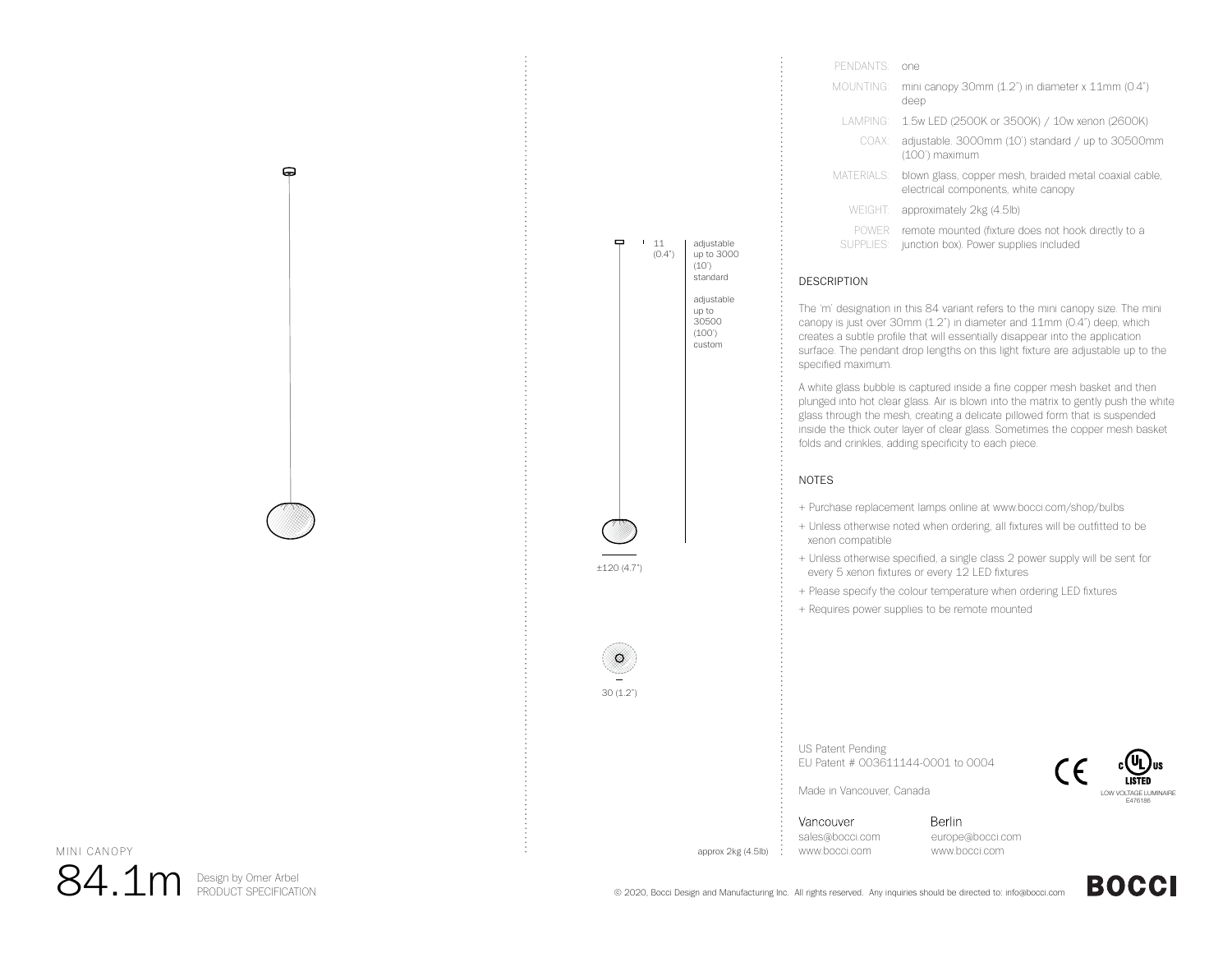| PENDANTS <sup>.</sup>     | one                                                                                           |
|---------------------------|-----------------------------------------------------------------------------------------------|
| MOUNTING <sup>.</sup>     | mini canopy 30mm (1.2") in diameter x 11mm (0.4")<br>deep                                     |
|                           | LAMPING: 1.5w LED (2500K or 3500K) / 10w xenon (2600K)                                        |
| COAX:                     | adjustable. 3000mm (10') standard / up to 30500mm<br>(100') maximum                           |
| MATERIALS:                | blown glass, copper mesh, braided metal coaxial cable,<br>electrical components, white canopy |
| <b>WEIGHT:</b>            | approximately 2kg (4.5lb)                                                                     |
| <b>POWER</b><br>SUPPLIES: | remote mounted (fixture does not hook directly to a<br>junction box). Power supplies included |

## DESCRIPTION

11 (0.4")

 $\blacksquare$ 

adjustable up to 3000 (10') standardadjustable up to 30500 (100') custom

±120 (4.7")

30 (1.2")

 $\circ$ 

The 'm' designation in this 84 variant refers to the mini canopy size. The mini canopy is just over 30mm (1.2") in diameter and 11mm (0.4") deep, which creates a subtle profile that will essentially disappear into the application surface. The pendant drop lengths on this light fixture are adjustable up to the specified maximum.

A white glass bubble is captured inside a fine copper mesh basket and then plunged into hot clear glass. Air is blown into the matrix to gently push the white glass through the mesh, creating a delicate pillowed form that is suspended inside the thick outer layer of clear glass. Sometimes the copper mesh basket folds and crinkles, adding specificity to each piece.

# NOTES

- + Purchase replacement lamps online at www.bocci.com/shop/bulbs
- + Unless otherwise noted when ordering, all fixtures will be outfitted to be xenon compatible
- + Unless otherwise specified, a single class 2 power supply will be sent for every 5 xenon fixtures or every 12 LED fixtures
- + Please specify the colour temperature when ordering LED fixtures
- + Requires power supplies to be remote mounted

US Patent Pending EU Patent # 003611144-0001 to 0004



approx 2kg (4.5lb)

Berlin

Vancouver sales@bocci.com www.bocci.com

Made in Vancouver, Canada

europe@bocci.com www.bocci.com

MINI CANOPY

 $84.1\mathrm{m}$  Design by Omer Arbel

0